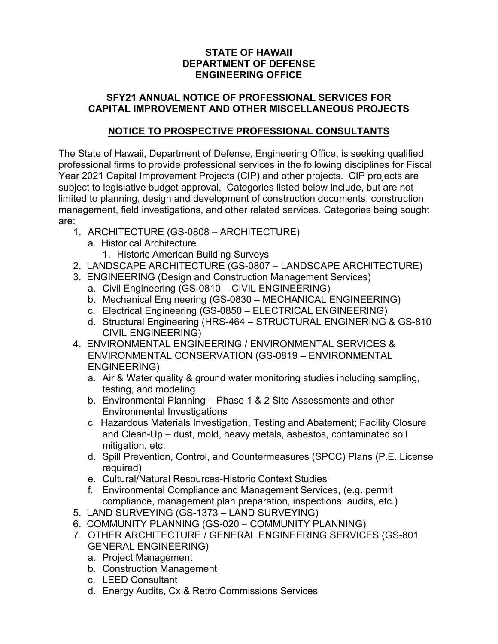## **STATE OF HAWAII DEPARTMENT OF DEFENSE ENGINEERING OFFICE**

## **SFY21 ANNUAL NOTICE OF PROFESSIONAL SERVICES FOR CAPITAL IMPROVEMENT AND OTHER MISCELLANEOUS PROJECTS**

## **NOTICE TO PROSPECTIVE PROFESSIONAL CONSULTANTS**

The State of Hawaii, Department of Defense, Engineering Office, is seeking qualified professional firms to provide professional services in the following disciplines for Fiscal Year 2021 Capital Improvement Projects (CIP) and other projects. CIP projects are subject to legislative budget approval. Categories listed below include, but are not limited to planning, design and development of construction documents, construction management, field investigations, and other related services. Categories being sought are:

- 1. ARCHITECTURE (GS-0808 ARCHITECTURE)
	- a. Historical Architecture
		- 1. Historic American Building Surveys
- 2. LANDSCAPE ARCHITECTURE (GS-0807 LANDSCAPE ARCHITECTURE)
- 3. ENGINEERING (Design and Construction Management Services)
	- a. Civil Engineering (GS-0810 CIVIL ENGINEERING)
	- b. Mechanical Engineering (GS-0830 MECHANICAL ENGINEERING)
	- c. Electrical Engineering (GS-0850 ELECTRICAL ENGINEERING)
	- d. Structural Engineering (HRS-464 STRUCTURAL ENGINERING & GS-810 CIVIL ENGINEERING)
- 4. ENVIRONMENTAL ENGINEERING / ENVIRONMENTAL SERVICES & ENVIRONMENTAL CONSERVATION (GS-0819 – ENVIRONMENTAL ENGINEERING)
	- a. Air & Water quality & ground water monitoring studies including sampling, testing, and modeling
	- b. Environmental Planning Phase 1 & 2 Site Assessments and other Environmental Investigations
	- c. Hazardous Materials Investigation, Testing and Abatement; Facility Closure and Clean-Up – dust, mold, heavy metals, asbestos, contaminated soil mitigation, etc.
	- d. Spill Prevention, Control, and Countermeasures (SPCC) Plans (P.E. License required)
	- e. Cultural/Natural Resources-Historic Context Studies
	- f. Environmental Compliance and Management Services, (e.g. permit compliance, management plan preparation, inspections, audits, etc.)
- 5. LAND SURVEYING (GS-1373 LAND SURVEYING)
- 6. COMMUNITY PLANNING (GS-020 COMMUNITY PLANNING)
- 7. OTHER ARCHITECTURE / GENERAL ENGINEERING SERVICES (GS-801 GENERAL ENGINEERING)
	- a. Project Management
	- b. Construction Management
	- c. LEED Consultant
	- d. Energy Audits, Cx & Retro Commissions Services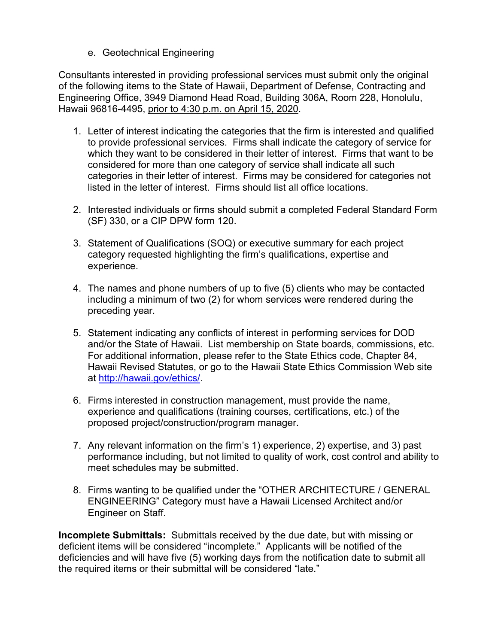e. Geotechnical Engineering

Consultants interested in providing professional services must submit only the original of the following items to the State of Hawaii, Department of Defense, Contracting and Engineering Office, 3949 Diamond Head Road, Building 306A, Room 228, Honolulu, Hawaii 96816-4495, prior to 4:30 p.m. on April 15, 2020.

- 1. Letter of interest indicating the categories that the firm is interested and qualified to provide professional services. Firms shall indicate the category of service for which they want to be considered in their letter of interest. Firms that want to be considered for more than one category of service shall indicate all such categories in their letter of interest. Firms may be considered for categories not listed in the letter of interest. Firms should list all office locations.
- 2. Interested individuals or firms should submit a completed Federal Standard Form (SF) 330, or a CIP DPW form 120.
- 3. Statement of Qualifications (SOQ) or executive summary for each project category requested highlighting the firm's qualifications, expertise and experience.
- 4. The names and phone numbers of up to five (5) clients who may be contacted including a minimum of two (2) for whom services were rendered during the preceding year.
- 5. Statement indicating any conflicts of interest in performing services for DOD and/or the State of Hawaii. List membership on State boards, commissions, etc. For additional information, please refer to the State Ethics code, Chapter 84, Hawaii Revised Statutes, or go to the Hawaii State Ethics Commission Web site at [http://hawaii.gov/ethics/.](http://hawaii.gov/ethics/)
- 6. Firms interested in construction management, must provide the name, experience and qualifications (training courses, certifications, etc.) of the proposed project/construction/program manager.
- 7. Any relevant information on the firm's 1) experience, 2) expertise, and 3) past performance including, but not limited to quality of work, cost control and ability to meet schedules may be submitted.
- 8. Firms wanting to be qualified under the "OTHER ARCHITECTURE / GENERAL ENGINEERING" Category must have a Hawaii Licensed Architect and/or Engineer on Staff.

**Incomplete Submittals:** Submittals received by the due date, but with missing or deficient items will be considered "incomplete." Applicants will be notified of the deficiencies and will have five (5) working days from the notification date to submit all the required items or their submittal will be considered "late."